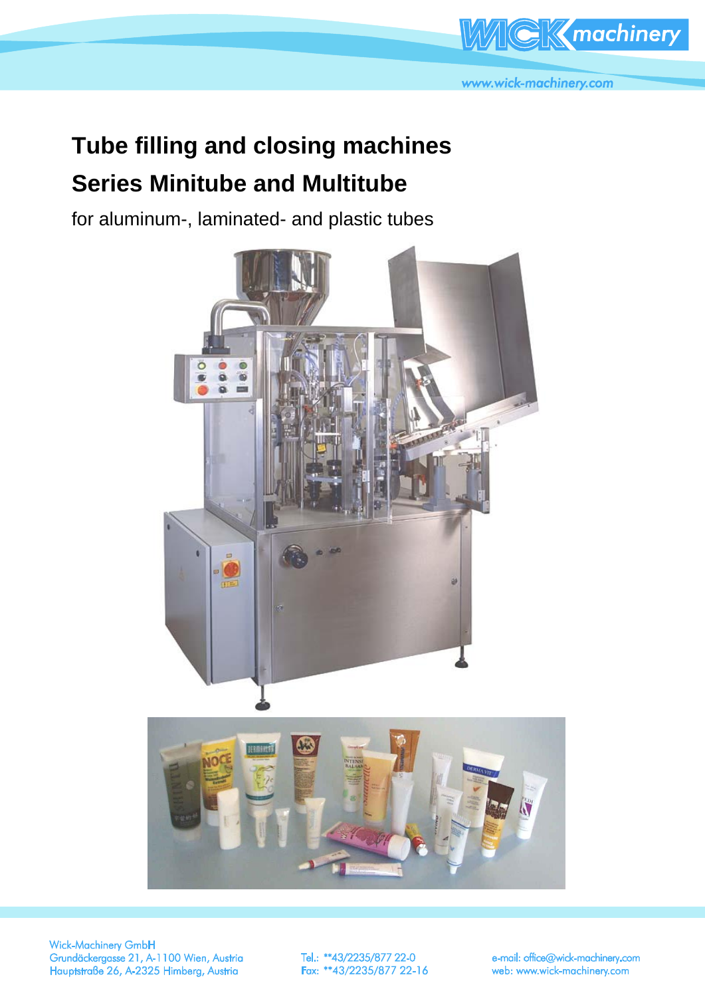

## **Tube filling and closing machines Series Minitube and Multitube**

for aluminum-, laminated- and plastic tubes





Verschließstation für Kunststofftuben s (2) s (2) s (2) s (2) Prägestation s s s s Abschneider für den Tubenrand s (2) s (2) s (2) s (2)